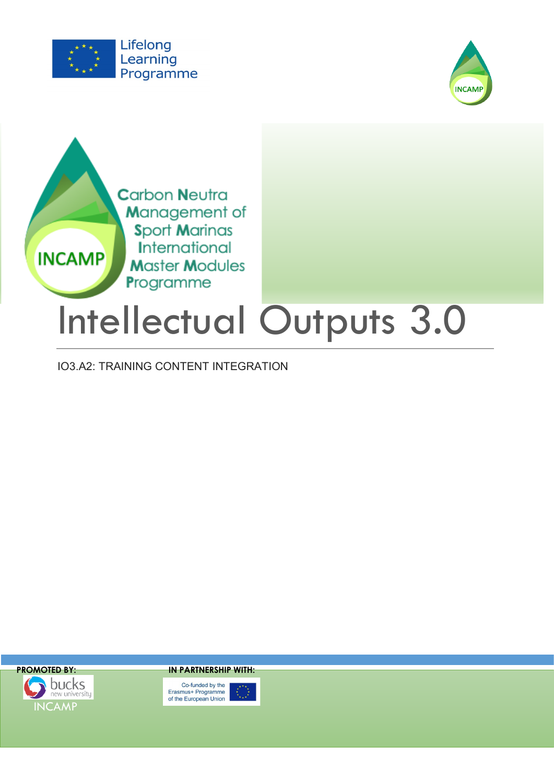

**INCAMP** 



**Carbon Neutra** Management of **Sport Marinas** International **Master Modules** Programme

# Intellectual Outputs 3.0

IO3.A2: TRAINING CONTENT INTEGRATION



**PROMOTED BY: IN PARTNERSHIP WITH:**

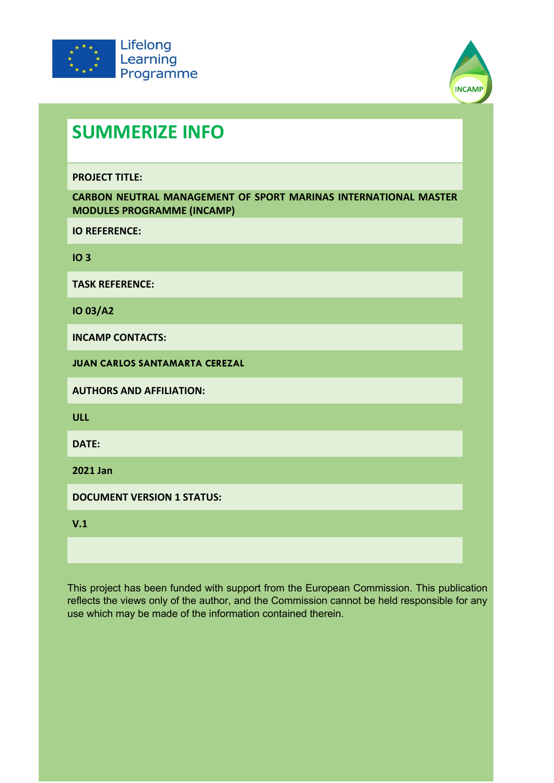



# **SUMMERIZE INFO**

**PROJECT TITLE:**

**CARBON NEUTRAL MANAGEMENT OF SPORT MARINAS INTERNATIONAL MASTER MODULES PROGRAMME (INCAMP)** 

**IO REFERENCE:**

**IO 3**

**TASK REFERENCE:**

**IO 03/A2**

**INCAMP CONTACTS:**

**JUAN CARLOS SANTAMARTA CEREZAL** 

**AUTHORS AND AFFILIATION:**

**ULL**

**DATE:**

**2021 Jan**

**DOCUMENT VERSION 1 STATUS:**

**V.1**

This project has been funded with support from the European Commission. This publication reflects the views only of the author, and the Commission cannot be held responsible for any use which may be made of the information contained therein.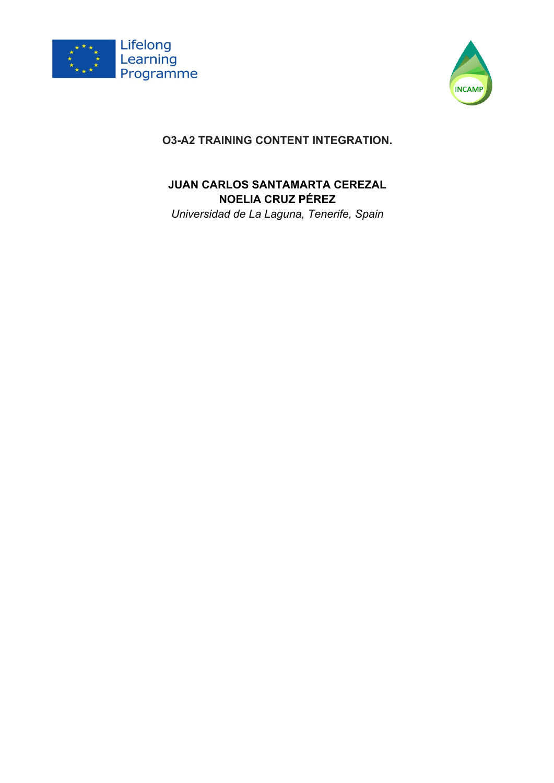



## **O3-A2 TRAINING CONTENT INTEGRATION.**

## **JUAN CARLOS SANTAMARTA CEREZAL NOELIA CRUZ PÉREZ**

*Universidad de La Laguna, Tenerife, Spain*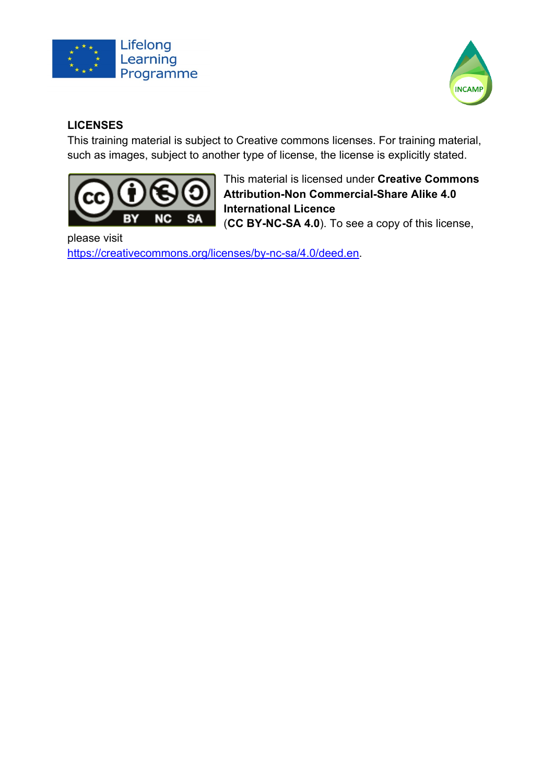



## **LICENSES**

This training material is subject to Creative commons licenses. For training material, such as images, subject to another type of license, the license is explicitly stated.



This material is licensed under **Creative Commons Attribution-Non Commercial-Share Alike 4.0 International Licence**  (**CC BY-NC-SA 4.0**). To see a copy of this license,

please visit https://creativecommons.org/licenses/by-nc-sa/4.0/deed.en.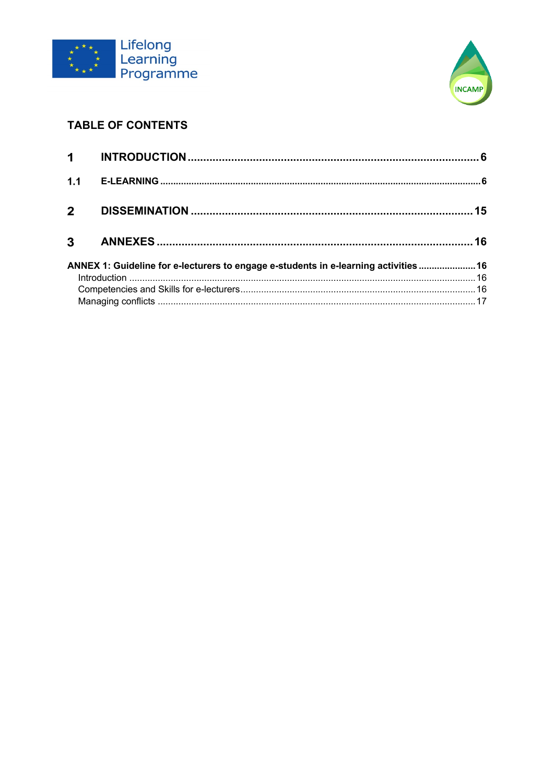



## **TABLE OF CONTENTS**

| 1.1            |                                                                                      |  |
|----------------|--------------------------------------------------------------------------------------|--|
| 2 <sup>7</sup> |                                                                                      |  |
| $3^{\circ}$    |                                                                                      |  |
|                | ANNEX 1: Guideline for e-lecturers to engage e-students in e-learning activities  16 |  |
|                |                                                                                      |  |
|                |                                                                                      |  |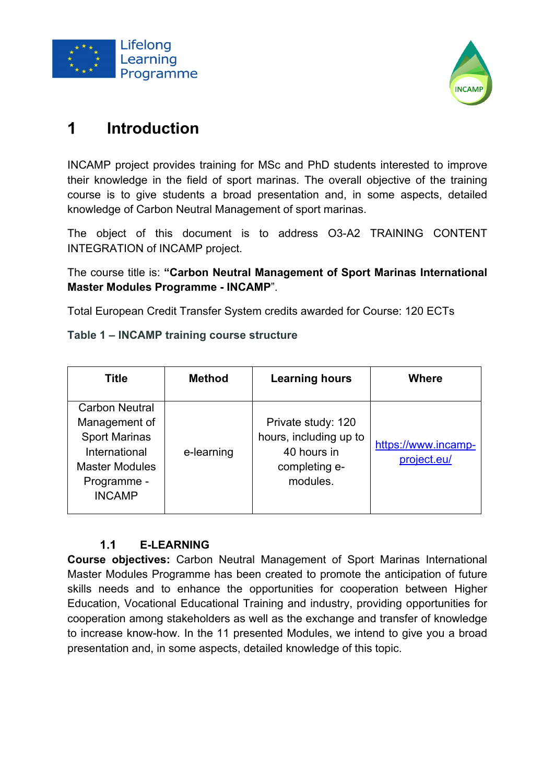



#### $\blacktriangleleft$ **Introduction**

INCAMP project provides training for MSc and PhD students interested to improve their knowledge in the field of sport marinas. The overall objective of the training course is to give students a broad presentation and, in some aspects, detailed knowledge of Carbon Neutral Management of sport marinas.

The object of this document is to address O3-A2 TRAINING CONTENT INTEGRATION of INCAMP project.

The course title is: **"Carbon Neutral Management of Sport Marinas International Master Modules Programme - INCAMP**".

Total European Credit Transfer System credits awarded for Course: 120 ECTs

**Table 1 – INCAMP training course structure** 

| <b>Title</b>                                                                                                                             | <b>Method</b> | <b>Learning hours</b>                                                                    | <b>Where</b>                       |
|------------------------------------------------------------------------------------------------------------------------------------------|---------------|------------------------------------------------------------------------------------------|------------------------------------|
| <b>Carbon Neutral</b><br>Management of<br><b>Sport Marinas</b><br>International<br><b>Master Modules</b><br>Programme -<br><b>INCAMP</b> | e-learning    | Private study: 120<br>hours, including up to<br>40 hours in<br>completing e-<br>modules. | https://www.incamp-<br>project.eu/ |

#### $1.1$ **E-LEARNING**

**Course objectives:** Carbon Neutral Management of Sport Marinas International Master Modules Programme has been created to promote the anticipation of future skills needs and to enhance the opportunities for cooperation between Higher Education, Vocational Educational Training and industry, providing opportunities for cooperation among stakeholders as well as the exchange and transfer of knowledge to increase know-how. In the 11 presented Modules, we intend to give you a broad presentation and, in some aspects, detailed knowledge of this topic.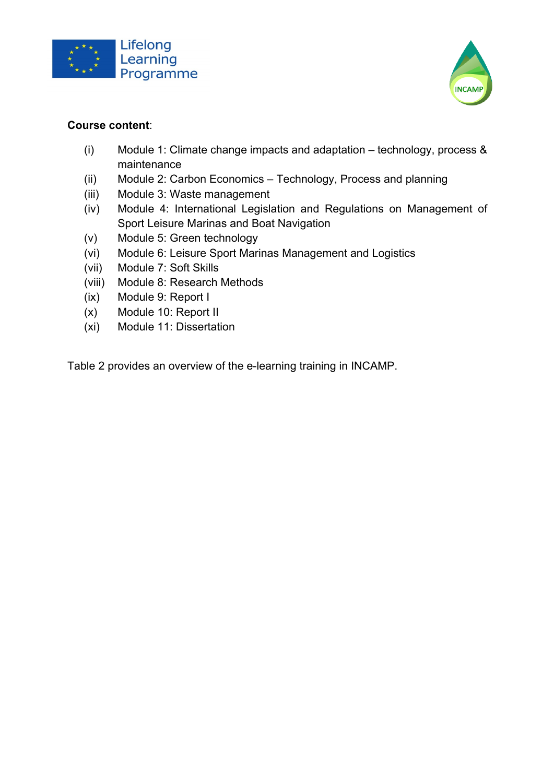



#### **Course content**:

- (i) Module 1: Climate change impacts and adaptation technology, process & maintenance
- (ii) Module 2: Carbon Economics Technology, Process and planning
- (iii) Module 3: Waste management
- (iv) Module 4: International Legislation and Regulations on Management of Sport Leisure Marinas and Boat Navigation
- (v) Module 5: Green technology
- (vi) Module 6: Leisure Sport Marinas Management and Logistics
- (vii) Module 7: Soft Skills
- (viii) Module 8: Research Methods
- (ix) Module 9: Report I
- (x) Module 10: Report II
- (xi) Module 11: Dissertation

Table 2 provides an overview of the e-learning training in INCAMP.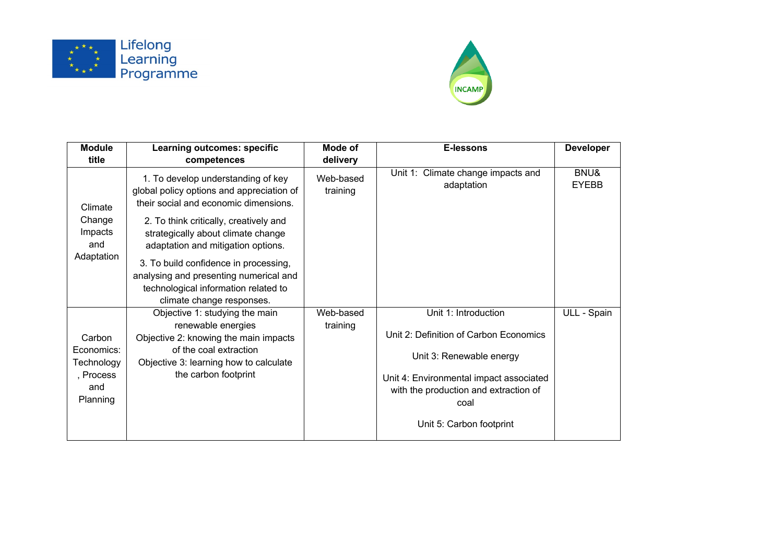



| <b>Module</b>                                                      | <b>Learning outcomes: specific</b>                                                                                                                                                                                                             | Mode of               | E-lessons                                                                                                                                                                                                          | <b>Developer</b>     |
|--------------------------------------------------------------------|------------------------------------------------------------------------------------------------------------------------------------------------------------------------------------------------------------------------------------------------|-----------------------|--------------------------------------------------------------------------------------------------------------------------------------------------------------------------------------------------------------------|----------------------|
| title                                                              | competences                                                                                                                                                                                                                                    | delivery              |                                                                                                                                                                                                                    |                      |
| Climate<br>Change<br>Impacts<br>and                                | 1. To develop understanding of key<br>global policy options and appreciation of<br>their social and economic dimensions.<br>2. To think critically, creatively and<br>strategically about climate change<br>adaptation and mitigation options. | Web-based<br>training | Unit 1: Climate change impacts and<br>adaptation                                                                                                                                                                   | BNU&<br><b>EYEBB</b> |
| Adaptation                                                         | 3. To build confidence in processing,<br>analysing and presenting numerical and<br>technological information related to<br>climate change responses.                                                                                           |                       |                                                                                                                                                                                                                    |                      |
| Carbon<br>Economics:<br>Technology<br>, Process<br>and<br>Planning | Objective 1: studying the main<br>renewable energies<br>Objective 2: knowing the main impacts<br>of the coal extraction<br>Objective 3: learning how to calculate<br>the carbon footprint                                                      | Web-based<br>training | Unit 1: Introduction<br>Unit 2: Definition of Carbon Economics<br>Unit 3: Renewable energy<br>Unit 4: Environmental impact associated<br>with the production and extraction of<br>coal<br>Unit 5: Carbon footprint | ULL - Spain          |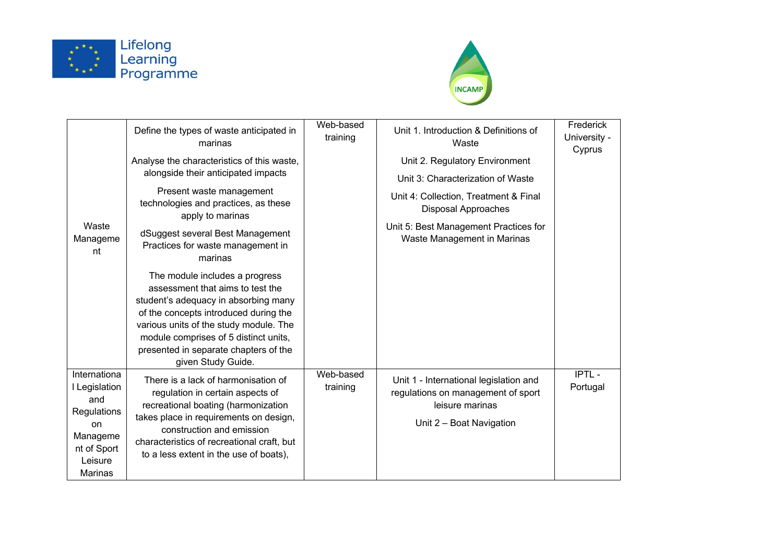



|                                                                                                            | Define the types of waste anticipated in<br>marinas                                                                                                                                                                                                                                                   | Web-based<br>training | Unit 1. Introduction & Definitions of<br>Waste                                                                              | Frederick<br>University -<br>Cyprus |
|------------------------------------------------------------------------------------------------------------|-------------------------------------------------------------------------------------------------------------------------------------------------------------------------------------------------------------------------------------------------------------------------------------------------------|-----------------------|-----------------------------------------------------------------------------------------------------------------------------|-------------------------------------|
|                                                                                                            | Analyse the characteristics of this waste,<br>alongside their anticipated impacts                                                                                                                                                                                                                     |                       | Unit 2. Regulatory Environment<br>Unit 3: Characterization of Waste                                                         |                                     |
|                                                                                                            | Present waste management<br>technologies and practices, as these<br>apply to marinas                                                                                                                                                                                                                  |                       | Unit 4: Collection, Treatment & Final<br><b>Disposal Approaches</b>                                                         |                                     |
| Waste<br>Manageme<br>nt                                                                                    | dSuggest several Best Management<br>Practices for waste management in<br>marinas                                                                                                                                                                                                                      |                       | Unit 5: Best Management Practices for<br>Waste Management in Marinas                                                        |                                     |
|                                                                                                            | The module includes a progress<br>assessment that aims to test the<br>student's adequacy in absorbing many<br>of the concepts introduced during the<br>various units of the study module. The<br>module comprises of 5 distinct units,<br>presented in separate chapters of the<br>given Study Guide. |                       |                                                                                                                             |                                     |
| Internationa<br>I Legislation<br>and<br>Regulations<br>on<br>Manageme<br>nt of Sport<br>Leisure<br>Marinas | There is a lack of harmonisation of<br>regulation in certain aspects of<br>recreational boating (harmonization<br>takes place in requirements on design,<br>construction and emission<br>characteristics of recreational craft, but<br>to a less extent in the use of boats),                         | Web-based<br>training | Unit 1 - International legislation and<br>regulations on management of sport<br>leisure marinas<br>Unit 2 - Boat Navigation | IPTL-<br>Portugal                   |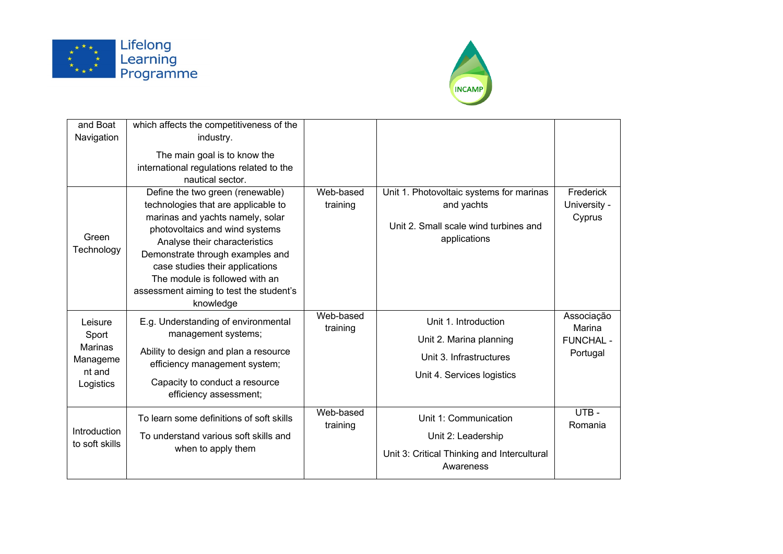



| and Boat                       | which affects the competitiveness of the                               |           |                                             |                  |
|--------------------------------|------------------------------------------------------------------------|-----------|---------------------------------------------|------------------|
| Navigation                     | industry.                                                              |           |                                             |                  |
|                                | The main goal is to know the                                           |           |                                             |                  |
|                                | international regulations related to the                               |           |                                             |                  |
|                                | nautical sector.                                                       |           |                                             |                  |
|                                | Define the two green (renewable)                                       | Web-based | Unit 1. Photovoltaic systems for marinas    | Frederick        |
|                                | technologies that are applicable to                                    | training  | and yachts                                  | University -     |
|                                | marinas and yachts namely, solar                                       |           | Unit 2. Small scale wind turbines and       | Cyprus           |
| Green                          | photovoltaics and wind systems                                         |           | applications                                |                  |
| Technology                     | Analyse their characteristics                                          |           |                                             |                  |
|                                | Demonstrate through examples and<br>case studies their applications    |           |                                             |                  |
|                                | The module is followed with an                                         |           |                                             |                  |
|                                | assessment aiming to test the student's                                |           |                                             |                  |
|                                | knowledge                                                              |           |                                             |                  |
| Leisure                        | E.g. Understanding of environmental                                    | Web-based | Unit 1. Introduction                        | Associação       |
| Sport                          | management systems;                                                    | training  |                                             | Marina           |
| <b>Marinas</b>                 |                                                                        |           | Unit 2. Marina planning                     | <b>FUNCHAL -</b> |
| Manageme                       | Ability to design and plan a resource<br>efficiency management system; |           | Unit 3. Infrastructures                     | Portugal         |
| nt and                         |                                                                        |           | Unit 4. Services logistics                  |                  |
| Logistics                      | Capacity to conduct a resource                                         |           |                                             |                  |
|                                | efficiency assessment;                                                 |           |                                             |                  |
| Introduction<br>to soft skills | To learn some definitions of soft skills                               | Web-based | Unit 1: Communication                       | UTB-             |
|                                |                                                                        | training  |                                             | Romania          |
|                                | To understand various soft skills and                                  |           | Unit 2: Leadership                          |                  |
|                                | when to apply them                                                     |           | Unit 3: Critical Thinking and Intercultural |                  |
|                                |                                                                        |           | Awareness                                   |                  |
|                                |                                                                        |           |                                             |                  |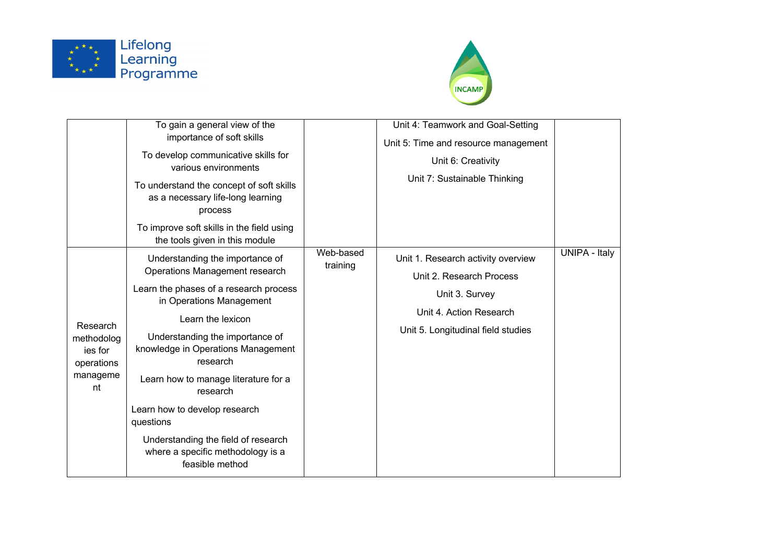



|                                                                   | To gain a general view of the<br>importance of soft skills<br>To develop communicative skills for<br>various environments<br>To understand the concept of soft skills<br>as a necessary life-long learning<br>process<br>To improve soft skills in the field using                                                                                                                                                                                                                   |                       | Unit 4: Teamwork and Goal-Setting<br>Unit 5: Time and resource management<br>Unit 6: Creativity<br>Unit 7: Sustainable Thinking                   |                      |
|-------------------------------------------------------------------|--------------------------------------------------------------------------------------------------------------------------------------------------------------------------------------------------------------------------------------------------------------------------------------------------------------------------------------------------------------------------------------------------------------------------------------------------------------------------------------|-----------------------|---------------------------------------------------------------------------------------------------------------------------------------------------|----------------------|
| Research<br>methodolog<br>ies for<br>operations<br>manageme<br>nt | the tools given in this module<br>Understanding the importance of<br>Operations Management research<br>Learn the phases of a research process<br>in Operations Management<br>Learn the lexicon<br>Understanding the importance of<br>knowledge in Operations Management<br>research<br>Learn how to manage literature for a<br>research<br>Learn how to develop research<br>questions<br>Understanding the field of research<br>where a specific methodology is a<br>feasible method | Web-based<br>training | Unit 1. Research activity overview<br>Unit 2. Research Process<br>Unit 3. Survey<br>Unit 4. Action Research<br>Unit 5. Longitudinal field studies | <b>UNIPA - Italy</b> |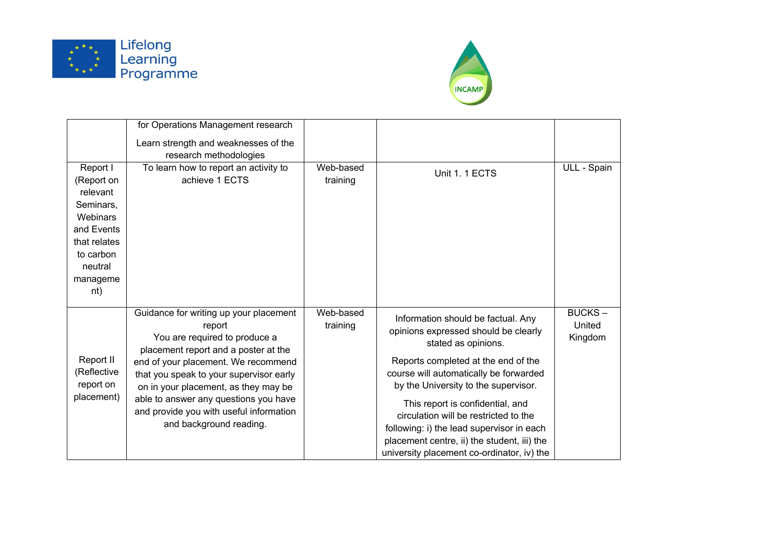



|                                                                                                                                      | for Operations Management research                                                                                                                                                                                                                                                                                                                                 |                       |                                                                                                                                                                                                                                                                                                                                                                                                                                                   |                                    |
|--------------------------------------------------------------------------------------------------------------------------------------|--------------------------------------------------------------------------------------------------------------------------------------------------------------------------------------------------------------------------------------------------------------------------------------------------------------------------------------------------------------------|-----------------------|---------------------------------------------------------------------------------------------------------------------------------------------------------------------------------------------------------------------------------------------------------------------------------------------------------------------------------------------------------------------------------------------------------------------------------------------------|------------------------------------|
|                                                                                                                                      | Learn strength and weaknesses of the                                                                                                                                                                                                                                                                                                                               |                       |                                                                                                                                                                                                                                                                                                                                                                                                                                                   |                                    |
|                                                                                                                                      | research methodologies                                                                                                                                                                                                                                                                                                                                             |                       |                                                                                                                                                                                                                                                                                                                                                                                                                                                   |                                    |
| Report I<br>(Report on<br>relevant<br>Seminars,<br>Webinars<br>and Events<br>that relates<br>to carbon<br>neutral<br>manageme<br>nt) | To learn how to report an activity to<br>achieve 1 ECTS                                                                                                                                                                                                                                                                                                            | Web-based<br>training | Unit 1.1 ECTS                                                                                                                                                                                                                                                                                                                                                                                                                                     | ULL - Spain                        |
| Report II<br>(Reflective<br>report on<br>placement)                                                                                  | Guidance for writing up your placement<br>report<br>You are required to produce a<br>placement report and a poster at the<br>end of your placement. We recommend<br>that you speak to your supervisor early<br>on in your placement, as they may be<br>able to answer any questions you have<br>and provide you with useful information<br>and background reading. | Web-based<br>training | Information should be factual. Any<br>opinions expressed should be clearly<br>stated as opinions.<br>Reports completed at the end of the<br>course will automatically be forwarded<br>by the University to the supervisor.<br>This report is confidential, and<br>circulation will be restricted to the<br>following: i) the lead supervisor in each<br>placement centre, ii) the student, iii) the<br>university placement co-ordinator, iv) the | <b>BUCKS-</b><br>United<br>Kingdom |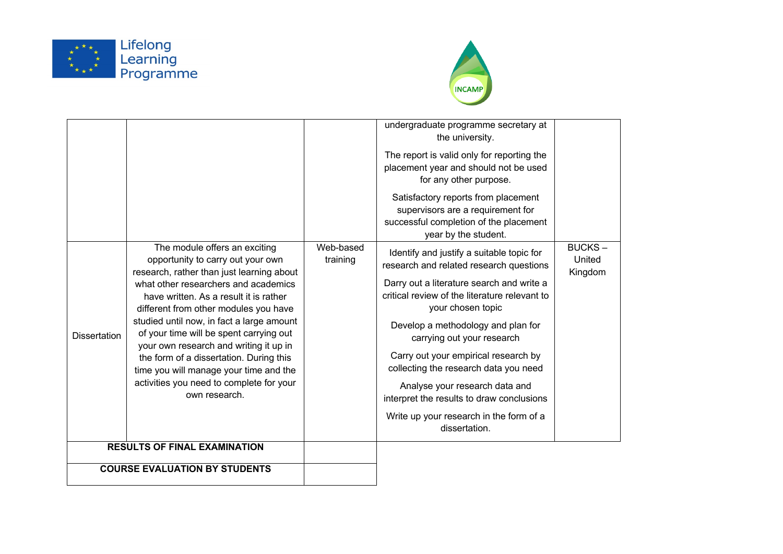



|                                      |                                                                                                                                                                                                                                                                                                                                                                                                             |                       | undergraduate programme secretary at<br>the university.                                                                                    |                                    |
|--------------------------------------|-------------------------------------------------------------------------------------------------------------------------------------------------------------------------------------------------------------------------------------------------------------------------------------------------------------------------------------------------------------------------------------------------------------|-----------------------|--------------------------------------------------------------------------------------------------------------------------------------------|------------------------------------|
|                                      |                                                                                                                                                                                                                                                                                                                                                                                                             |                       | The report is valid only for reporting the<br>placement year and should not be used<br>for any other purpose.                              |                                    |
|                                      |                                                                                                                                                                                                                                                                                                                                                                                                             |                       | Satisfactory reports from placement<br>supervisors are a requirement for<br>successful completion of the placement<br>year by the student. |                                    |
|                                      | The module offers an exciting<br>opportunity to carry out your own<br>research, rather than just learning about                                                                                                                                                                                                                                                                                             | Web-based<br>training | Identify and justify a suitable topic for<br>research and related research questions                                                       | <b>BUCKS-</b><br>United<br>Kingdom |
|                                      | what other researchers and academics<br>have written. As a result it is rather<br>different from other modules you have<br>studied until now, in fact a large amount<br>of your time will be spent carrying out<br>your own research and writing it up in<br>the form of a dissertation. During this<br>time you will manage your time and the<br>activities you need to complete for your<br>own research. |                       | Darry out a literature search and write a<br>critical review of the literature relevant to<br>your chosen topic                            |                                    |
| <b>Dissertation</b>                  |                                                                                                                                                                                                                                                                                                                                                                                                             |                       | Develop a methodology and plan for<br>carrying out your research                                                                           |                                    |
|                                      |                                                                                                                                                                                                                                                                                                                                                                                                             |                       | Carry out your empirical research by<br>collecting the research data you need                                                              |                                    |
|                                      |                                                                                                                                                                                                                                                                                                                                                                                                             |                       | Analyse your research data and<br>interpret the results to draw conclusions                                                                |                                    |
|                                      |                                                                                                                                                                                                                                                                                                                                                                                                             |                       | Write up your research in the form of a<br>dissertation.                                                                                   |                                    |
| <b>RESULTS OF FINAL EXAMINATION</b>  |                                                                                                                                                                                                                                                                                                                                                                                                             |                       |                                                                                                                                            |                                    |
| <b>COURSE EVALUATION BY STUDENTS</b> |                                                                                                                                                                                                                                                                                                                                                                                                             |                       |                                                                                                                                            |                                    |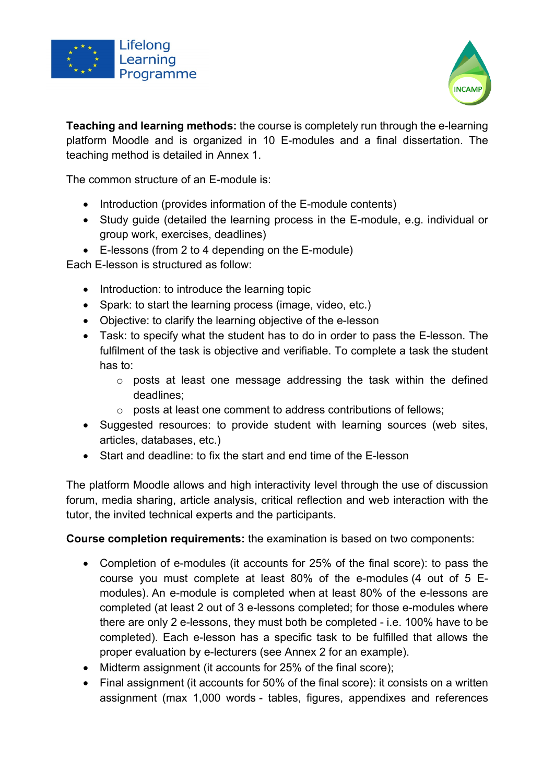



**Teaching and learning methods:** the course is completely run through the e-learning platform Moodle and is organized in 10 E-modules and a final dissertation. The teaching method is detailed in Annex 1.

The common structure of an E-module is:

- Introduction (provides information of the E-module contents)
- Study guide (detailed the learning process in the E-module, e.g. individual or group work, exercises, deadlines)
- E-lessons (from 2 to 4 depending on the E-module)

Each E-lesson is structured as follow:

- Introduction: to introduce the learning topic
- Spark: to start the learning process (image, video, etc.)
- Objective: to clarify the learning objective of the e-lesson
- Task: to specify what the student has to do in order to pass the E-lesson. The fulfilment of the task is objective and verifiable. To complete a task the student has to:
	- o posts at least one message addressing the task within the defined deadlines;
	- o posts at least one comment to address contributions of fellows;
- Suggested resources: to provide student with learning sources (web sites, articles, databases, etc.)
- Start and deadline: to fix the start and end time of the E-lesson

The platform Moodle allows and high interactivity level through the use of discussion forum, media sharing, article analysis, critical reflection and web interaction with the tutor, the invited technical experts and the participants.

**Course completion requirements:** the examination is based on two components:

- Completion of e-modules (it accounts for 25% of the final score): to pass the course you must complete at least 80% of the e-modules (4 out of 5 Emodules). An e-module is completed when at least 80% of the e-lessons are completed (at least 2 out of 3 e-lessons completed; for those e-modules where there are only 2 e-lessons, they must both be completed - i.e. 100% have to be completed). Each e-lesson has a specific task to be fulfilled that allows the proper evaluation by e-lecturers (see Annex 2 for an example).
- Midterm assignment (it accounts for 25% of the final score);
- Final assignment (it accounts for 50% of the final score): it consists on a written assignment (max 1,000 words - tables, figures, appendixes and references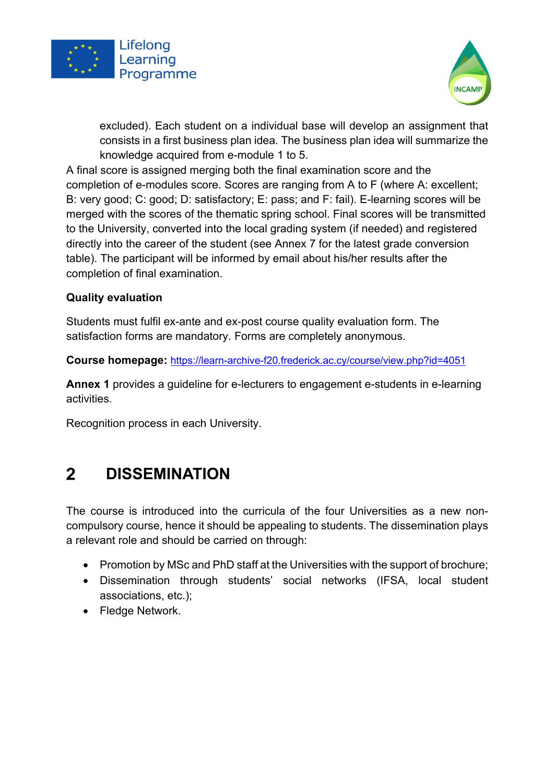



excluded). Each student on a individual base will develop an assignment that consists in a first business plan idea. The business plan idea will summarize the knowledge acquired from e-module 1 to 5.

A final score is assigned merging both the final examination score and the completion of e-modules score. Scores are ranging from A to F (where A: excellent; B: very good; C: good; D: satisfactory; E: pass; and F: fail). E-learning scores will be merged with the scores of the thematic spring school. Final scores will be transmitted to the University, converted into the local grading system (if needed) and registered directly into the career of the student (see Annex 7 for the latest grade conversion table). The participant will be informed by email about his/her results after the completion of final examination.

#### **Quality evaluation**

Students must fulfil ex-ante and ex-post course quality evaluation form. The satisfaction forms are mandatory. Forms are completely anonymous.

**Course homepage:** https://learn-archive-f20.frederick.ac.cy/course/view.php?id=4051

**Annex 1** provides a guideline for e-lecturers to engagement e-students in e-learning activities.

Recognition process in each University.

#### **DISSEMINATION**  $2<sup>1</sup>$

The course is introduced into the curricula of the four Universities as a new noncompulsory course, hence it should be appealing to students. The dissemination plays a relevant role and should be carried on through:

- Promotion by MSc and PhD staff at the Universities with the support of brochure;
- Dissemination through students' social networks (IFSA, local student associations, etc.);
- Fledge Network.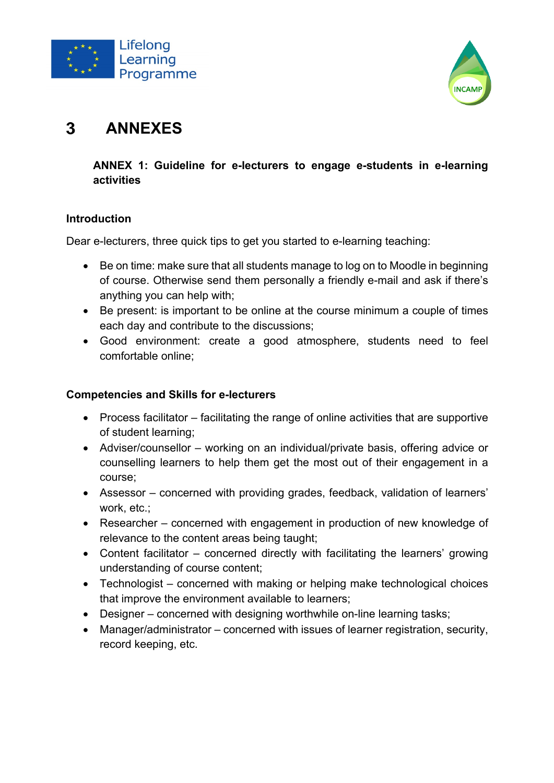



#### $\mathbf{3}$ **ANNEXES**

### **ANNEX 1: Guideline for e-lecturers to engage e-students in e-learning activities**

#### **Introduction**

Dear e-lecturers, three quick tips to get you started to e-learning teaching:

- Be on time: make sure that all students manage to log on to Moodle in beginning of course. Otherwise send them personally a friendly e-mail and ask if there's anything you can help with;
- Be present: is important to be online at the course minimum a couple of times each day and contribute to the discussions;
- Good environment: create a good atmosphere, students need to feel comfortable online;

#### **Competencies and Skills for e-lecturers**

- Process facilitator facilitating the range of online activities that are supportive of student learning;
- Adviser/counsellor working on an individual/private basis, offering advice or counselling learners to help them get the most out of their engagement in a course;
- Assessor concerned with providing grades, feedback, validation of learners' work, etc.;
- Researcher concerned with engagement in production of new knowledge of relevance to the content areas being taught;
- Content facilitator concerned directly with facilitating the learners' growing understanding of course content;
- Technologist concerned with making or helping make technological choices that improve the environment available to learners;
- Designer concerned with designing worthwhile on-line learning tasks;
- Manager/administrator concerned with issues of learner registration, security, record keeping, etc.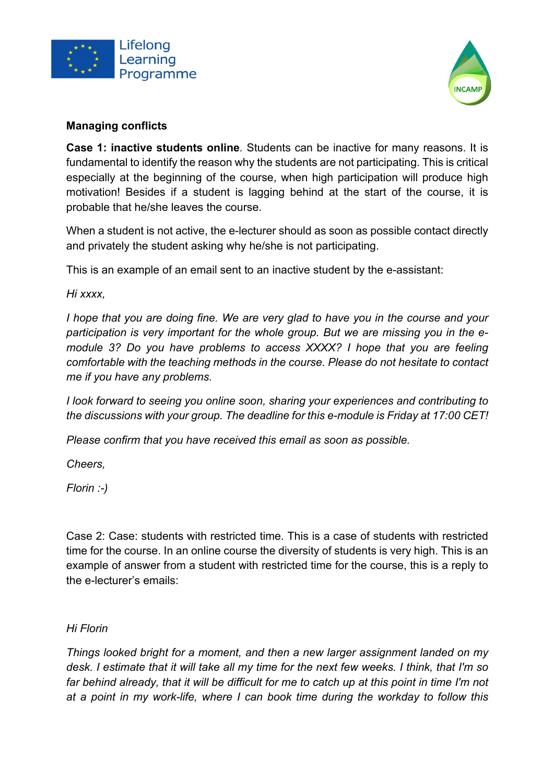



#### **Managing conflicts**

**Case 1: inactive students online***.* Students can be inactive for many reasons. It is fundamental to identify the reason why the students are not participating. This is critical especially at the beginning of the course, when high participation will produce high motivation! Besides if a student is lagging behind at the start of the course, it is probable that he/she leaves the course.

When a student is not active, the e-lecturer should as soon as possible contact directly and privately the student asking why he/she is not participating.

This is an example of an email sent to an inactive student by the e-assistant:

*Hi xxxx,*

*I hope that you are doing fine. We are very glad to have you in the course and your participation is very important for the whole group. But we are missing you in the emodule 3? Do you have problems to access XXXX? I hope that you are feeling comfortable with the teaching methods in the course. Please do not hesitate to contact me if you have any problems.*

*I look forward to seeing you online soon, sharing your experiences and contributing to the discussions with your group. The deadline for this e-module is Friday at 17:00 CET!*

*Please confirm that you have received this email as soon as possible.*

*Cheers,*

*Florin :-)*

Case 2: Case: students with restricted time. This is a case of students with restricted time for the course. In an online course the diversity of students is very high. This is an example of answer from a student with restricted time for the course, this is a reply to the e-lecturer's emails:

#### *Hi Florin*

*Things looked bright for a moment, and then a new larger assignment landed on my desk. I estimate that it will take all my time for the next few weeks. I think, that I'm so*  far behind already, that it will be difficult for me to catch up at this point in time I'm not *at a point in my work-life, where I can book time during the workday to follow this*